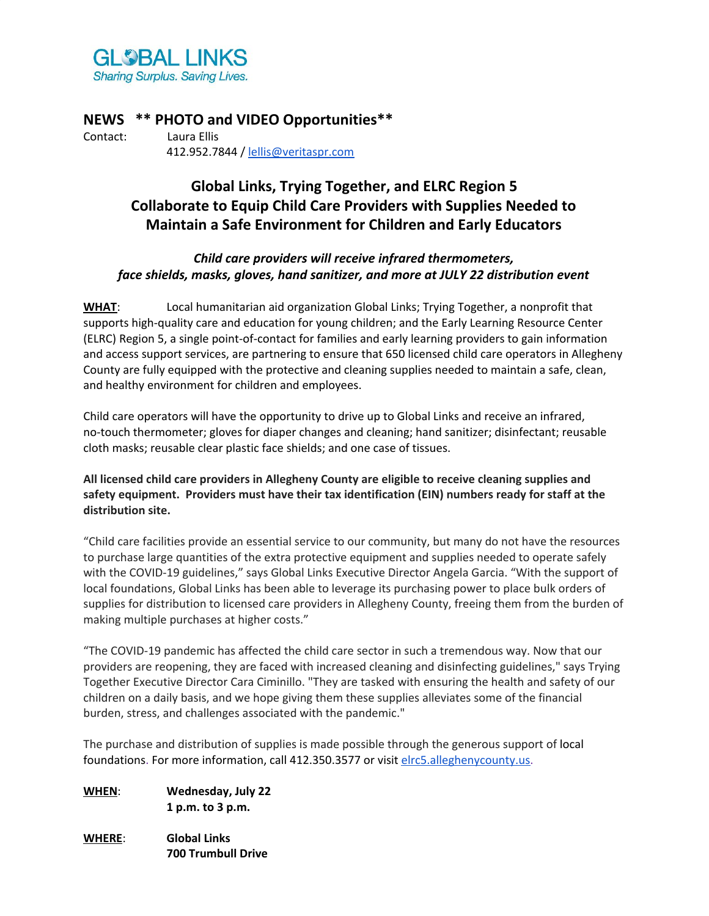

**NEWS \*\* PHOTO and VIDEO Opportunities\*\*** Contact: Laura Ellis 412.952.7844 / [lellis@veritaspr.com](mailto:lellis@veritaspr.com)

# **Global Links, Trying Together, and ELRC Region 5 Collaborate to Equip Child Care Providers with Supplies Needed to Maintain a Safe Environment for Children and Early Educators**

# *Child care providers will receive infrared thermometers, face shields, masks, gloves, hand sanitizer, and more at JULY 22 distribution event*

**WHAT**: Local humanitarian aid organization Global Links; Trying Together, a nonprofit that supports high-quality care and education for young children; and the Early Learning Resource Center (ELRC) Region 5, a single point-of-contact for families and early learning providers to gain information and access support services, are partnering to ensure that 650 licensed child care operators in Allegheny County are fully equipped with the protective and cleaning supplies needed to maintain a safe, clean, and healthy environment for children and employees.

Child care operators will have the opportunity to drive up to Global Links and receive an infrared, no-touch thermometer; gloves for diaper changes and cleaning; hand sanitizer; disinfectant; reusable cloth masks; reusable clear plastic face shields; and one case of tissues.

# **All licensed child care providers in Allegheny County are eligible to receive cleaning supplies and safety equipment. Providers must have their tax identification (EIN) numbers ready for staff at the distribution site.**

"Child care facilities provide an essential service to our community, but many do not have the resources to purchase large quantities of the extra protective equipment and supplies needed to operate safely with the COVID-19 guidelines," says Global Links Executive Director Angela Garcia. "With the support of local foundations, Global Links has been able to leverage its purchasing power to place bulk orders of supplies for distribution to licensed care providers in Allegheny County, freeing them from the burden of making multiple purchases at higher costs."

"The COVID-19 pandemic has affected the child care sector in such a tremendous way. Now that our providers are reopening, they are faced with increased cleaning and disinfecting guidelines," says Trying Together Executive Director Cara Ciminillo. "They are tasked with ensuring the health and safety of our children on a daily basis, and we hope giving them these supplies alleviates some of the financial burden, stress, and challenges associated with the pandemic."

The purchase and distribution of supplies is made possible through the generous support of local foundations. For more information, call 412.350.3577 or visit [elrc5.alleghenycounty.us.](https://elrc5.alleghenycounty.us/)

- **WHEN**: **Wednesday, July 22 1 p.m. to 3 p.m.**
- **WHERE**: **Global Links 700 Trumbull Drive**